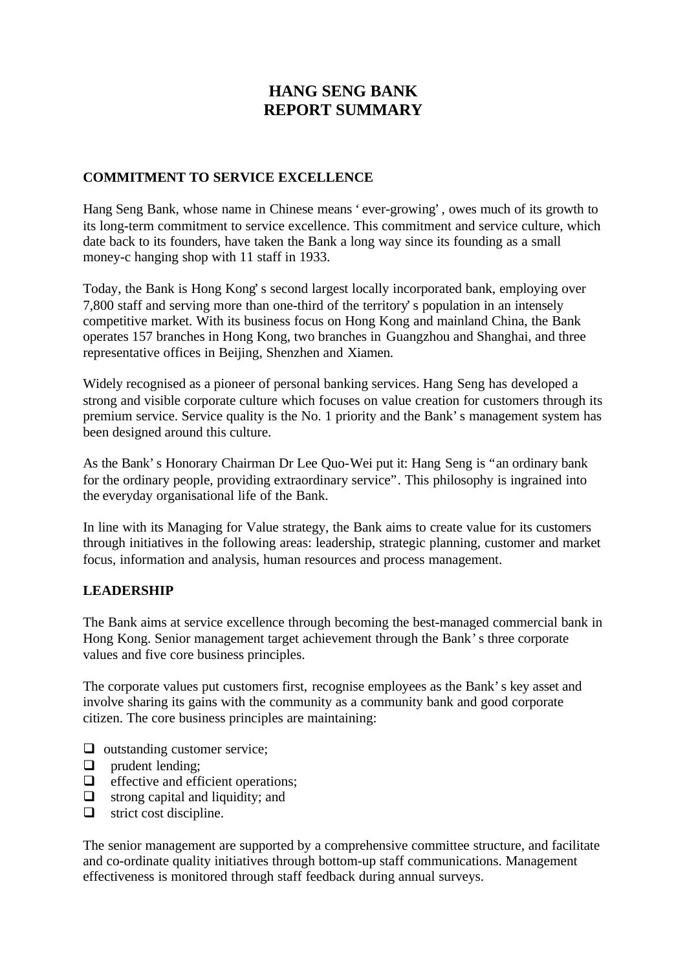# **HANG SENG BANK REPORT SUMMARY**

# **COMMITMENT TO SERVICE EXCELLENCE**

Hang Seng Bank, whose name in Chinese means 'ever-growing', owes much of its growth to its long-term commitment to service excellence. This commitment and service culture, which date back to its founders, have taken the Bank a long way since its founding as a small money-c hanging shop with 11 staff in 1933.

Today, the Bank is Hong Kong's second largest locally incorporated bank, employing over 7,800 staff and serving more than one-third of the territory's population in an intensely competitive market. With its business focus on Hong Kong and mainland China, the Bank operates 157 branches in Hong Kong, two branches in Guangzhou and Shanghai, and three representative offices in Beijing, Shenzhen and Xiamen.

Widely recognised as a pioneer of personal banking services. Hang Seng has developed a strong and visible corporate culture which focuses on value creation for customers through its premium service. Service quality is the No. 1 priority and the Bank's management system has been designed around this culture.

As the Bank's Honorary Chairman Dr Lee Quo-Wei put it: Hang Seng is "an ordinary bank for the ordinary people, providing extraordinary service". This philosophy is ingrained into the everyday organisational life of the Bank.

In line with its Managing for Value strategy, the Bank aims to create value for its customers through initiatives in the following areas: leadership, strategic planning, customer and market focus, information and analysis, human resources and process management.

#### **LEADERSHIP**

The Bank aims at service excellence through becoming the best-managed commercial bank in Hong Kong. Senior management target achievement through the Bank's three corporate values and five core business principles.

The corporate values put customers first, recognise employees as the Bank's key asset and involve sharing its gains with the community as a community bank and good corporate citizen. The core business principles are maintaining:

- $\Box$  outstanding customer service;
- $\Box$  prudent lending:
- $\Box$  effective and efficient operations;
- $\Box$  strong capital and liquidity; and
- $\Box$  strict cost discipline.

The senior management are supported by a comprehensive committee structure, and facilitate and co-ordinate quality initiatives through bottom-up staff communications. Management effectiveness is monitored through staff feedback during annual surveys.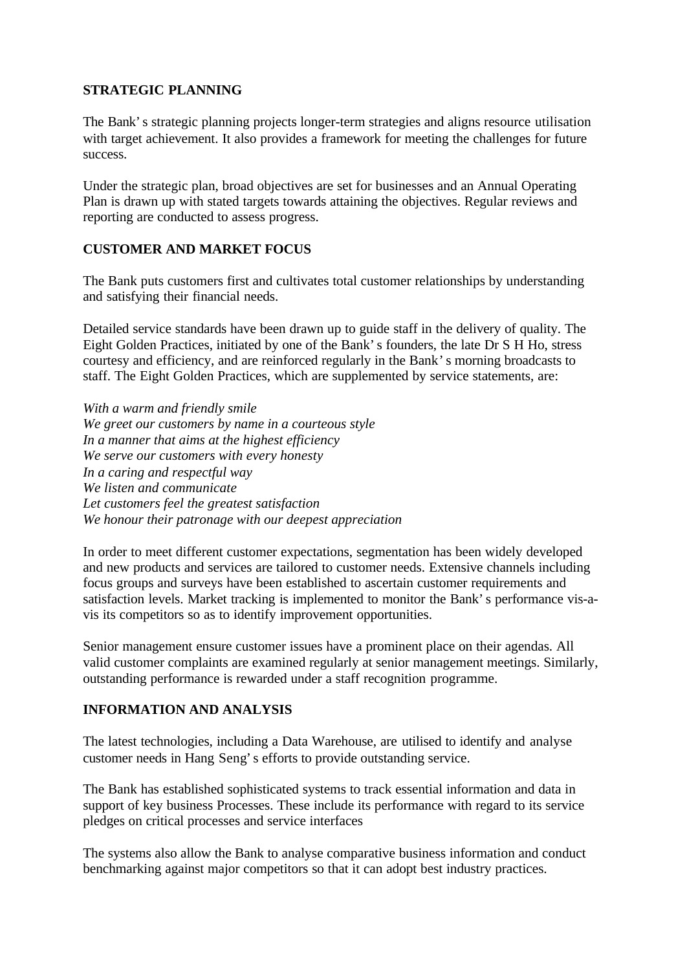### **STRATEGIC PLANNING**

The Bank's strategic planning projects longer-term strategies and aligns resource utilisation with target achievement. It also provides a framework for meeting the challenges for future success.

Under the strategic plan, broad objectives are set for businesses and an Annual Operating Plan is drawn up with stated targets towards attaining the objectives. Regular reviews and reporting are conducted to assess progress.

# **CUSTOMER AND MARKET FOCUS**

The Bank puts customers first and cultivates total customer relationships by understanding and satisfying their financial needs.

Detailed service standards have been drawn up to guide staff in the delivery of quality. The Eight Golden Practices, initiated by one of the Bank's founders, the late Dr S H Ho, stress courtesy and efficiency, and are reinforced regularly in the Bank's morning broadcasts to staff. The Eight Golden Practices, which are supplemented by service statements, are:

*With a warm and friendly smile We greet our customers by name in a courteous style In a manner that aims at the highest efficiency We serve our customers with every honesty In a caring and respectful way We listen and communicate Let customers feel the greatest satisfaction We honour their patronage with our deepest appreciation*

In order to meet different customer expectations, segmentation has been widely developed and new products and services are tailored to customer needs. Extensive channels including focus groups and surveys have been established to ascertain customer requirements and satisfaction levels. Market tracking is implemented to monitor the Bank's performance vis-avis its competitors so as to identify improvement opportunities.

Senior management ensure customer issues have a prominent place on their agendas. All valid customer complaints are examined regularly at senior management meetings. Similarly, outstanding performance is rewarded under a staff recognition programme.

# **INFORMATION AND ANALYSIS**

The latest technologies, including a Data Warehouse, are utilised to identify and analyse customer needs in Hang Seng's efforts to provide outstanding service.

The Bank has established sophisticated systems to track essential information and data in support of key business Processes. These include its performance with regard to its service pledges on critical processes and service interfaces

The systems also allow the Bank to analyse comparative business information and conduct benchmarking against major competitors so that it can adopt best industry practices.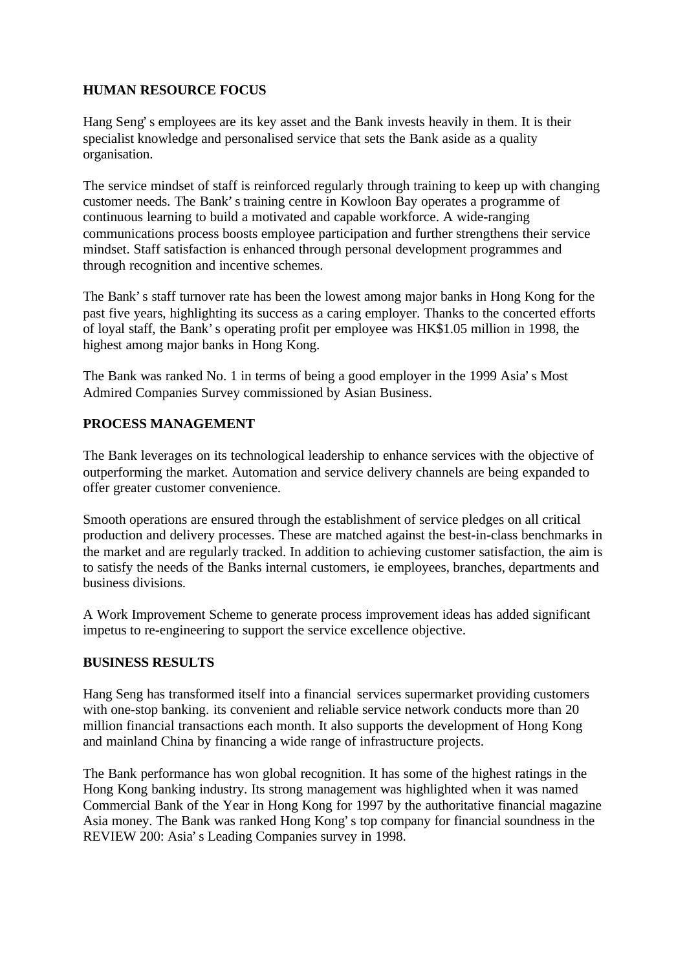# **HUMAN RESOURCE FOCUS**

Hang Seng's employees are its key asset and the Bank invests heavily in them. It is their specialist knowledge and personalised service that sets the Bank aside as a quality organisation.

The service mindset of staff is reinforced regularly through training to keep up with changing customer needs. The Bank's training centre in Kowloon Bay operates a programme of continuous learning to build a motivated and capable workforce. A wide-ranging communications process boosts employee participation and further strengthens their service mindset. Staff satisfaction is enhanced through personal development programmes and through recognition and incentive schemes.

The Bank's staff turnover rate has been the lowest among major banks in Hong Kong for the past five years, highlighting its success as a caring employer. Thanks to the concerted efforts of loyal staff, the Bank's operating profit per employee was HK\$1.05 million in 1998, the highest among major banks in Hong Kong.

The Bank was ranked No. 1 in terms of being a good employer in the 1999 Asia's Most Admired Companies Survey commissioned by Asian Business.

# **PROCESS MANAGEMENT**

The Bank leverages on its technological leadership to enhance services with the objective of outperforming the market. Automation and service delivery channels are being expanded to offer greater customer convenience.

Smooth operations are ensured through the establishment of service pledges on all critical production and delivery processes. These are matched against the best-in-class benchmarks in the market and are regularly tracked. In addition to achieving customer satisfaction, the aim is to satisfy the needs of the Banks internal customers, ie employees, branches, departments and business divisions.

A Work Improvement Scheme to generate process improvement ideas has added significant impetus to re-engineering to support the service excellence objective.

# **BUSINESS RESULTS**

Hang Seng has transformed itself into a financial services supermarket providing customers with one-stop banking. its convenient and reliable service network conducts more than 20 million financial transactions each month. It also supports the development of Hong Kong and mainland China by financing a wide range of infrastructure projects.

The Bank performance has won global recognition. It has some of the highest ratings in the Hong Kong banking industry. Its strong management was highlighted when it was named Commercial Bank of the Year in Hong Kong for 1997 by the authoritative financial magazine Asia money. The Bank was ranked Hong Kong's top company for financial soundness in the REVIEW 200: Asia's Leading Companies survey in 1998.